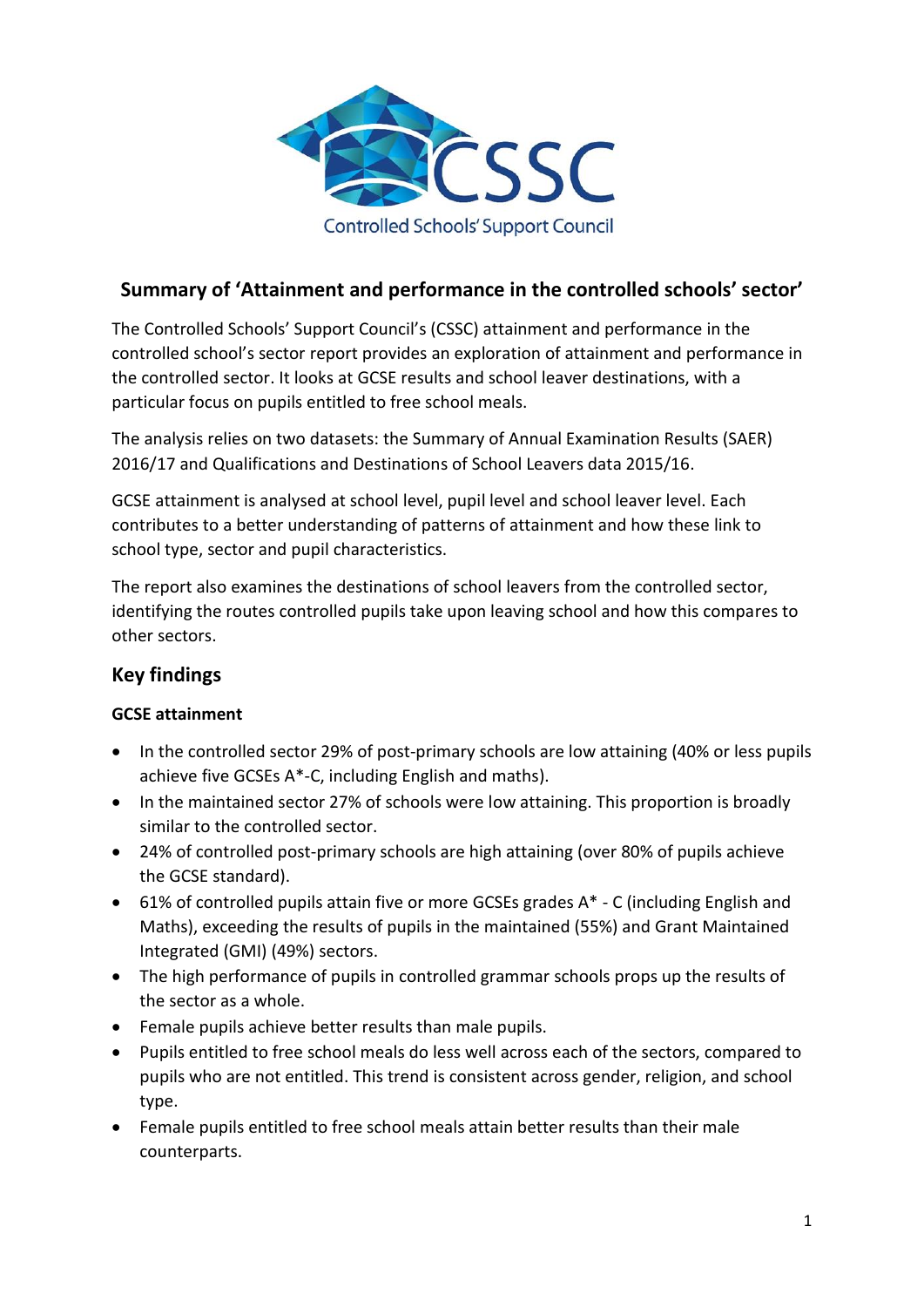

# **Summary of 'Attainment and performance in the controlled schools' sector'**

The Controlled Schools' Support Council's (CSSC) attainment and performance in the controlled school's sector report provides an exploration of attainment and performance in the controlled sector. It looks at GCSE results and school leaver destinations, with a particular focus on pupils entitled to free school meals.

The analysis relies on two datasets: the Summary of Annual Examination Results (SAER) 2016/17 and Qualifications and Destinations of School Leavers data 2015/16.

GCSE attainment is analysed at school level, pupil level and school leaver level. Each contributes to a better understanding of patterns of attainment and how these link to school type, sector and pupil characteristics.

The report also examines the destinations of school leavers from the controlled sector, identifying the routes controlled pupils take upon leaving school and how this compares to other sectors.

## **Key findings**

### **GCSE attainment**

- In the controlled sector 29% of post-primary schools are low attaining (40% or less pupils achieve five GCSEs A\*-C, including English and maths).
- In the maintained sector 27% of schools were low attaining. This proportion is broadly similar to the controlled sector.
- 24% of controlled post-primary schools are high attaining (over 80% of pupils achieve the GCSE standard).
- 61% of controlled pupils attain five or more GCSEs grades A\* C (including English and Maths), exceeding the results of pupils in the maintained (55%) and Grant Maintained Integrated (GMI) (49%) sectors.
- The high performance of pupils in controlled grammar schools props up the results of the sector as a whole.
- Female pupils achieve better results than male pupils.
- Pupils entitled to free school meals do less well across each of the sectors, compared to pupils who are not entitled. This trend is consistent across gender, religion, and school type.
- Female pupils entitled to free school meals attain better results than their male counterparts.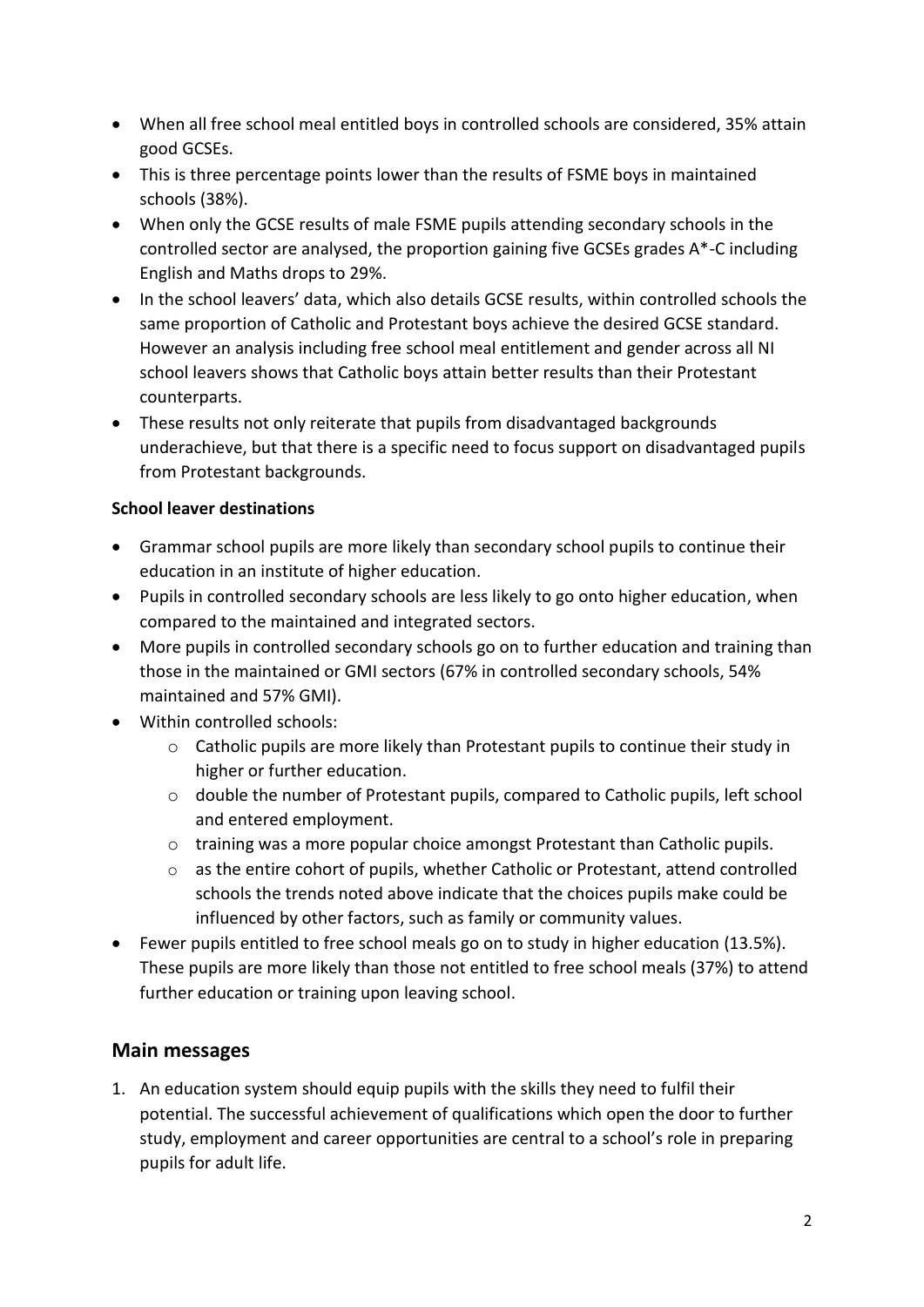- When all free school meal entitled boys in controlled schools are considered, 35% attain good GCSEs.
- This is three percentage points lower than the results of FSME boys in maintained schools (38%).
- When only the GCSE results of male FSME pupils attending secondary schools in the controlled sector are analysed, the proportion gaining five GCSEs grades A\*-C including English and Maths drops to 29%.
- In the school leavers' data, which also details GCSE results, within controlled schools the same proportion of Catholic and Protestant boys achieve the desired GCSE standard. However an analysis including free school meal entitlement and gender across all NI school leavers shows that Catholic boys attain better results than their Protestant counterparts.
- These results not only reiterate that pupils from disadvantaged backgrounds underachieve, but that there is a specific need to focus support on disadvantaged pupils from Protestant backgrounds.

#### **School leaver destinations**

- Grammar school pupils are more likely than secondary school pupils to continue their education in an institute of higher education.
- Pupils in controlled secondary schools are less likely to go onto higher education, when compared to the maintained and integrated sectors.
- More pupils in controlled secondary schools go on to further education and training than those in the maintained or GMI sectors (67% in controlled secondary schools, 54% maintained and 57% GMI).
- Within controlled schools:
	- o Catholic pupils are more likely than Protestant pupils to continue their study in higher or further education.
	- o double the number of Protestant pupils, compared to Catholic pupils, left school and entered employment.
	- o training was a more popular choice amongst Protestant than Catholic pupils.
	- o as the entire cohort of pupils, whether Catholic or Protestant, attend controlled schools the trends noted above indicate that the choices pupils make could be influenced by other factors, such as family or community values.
- Fewer pupils entitled to free school meals go on to study in higher education (13.5%). These pupils are more likely than those not entitled to free school meals (37%) to attend further education or training upon leaving school.

### **Main messages**

1. An education system should equip pupils with the skills they need to fulfil their potential. The successful achievement of qualifications which open the door to further study, employment and career opportunities are central to a school's role in preparing pupils for adult life.